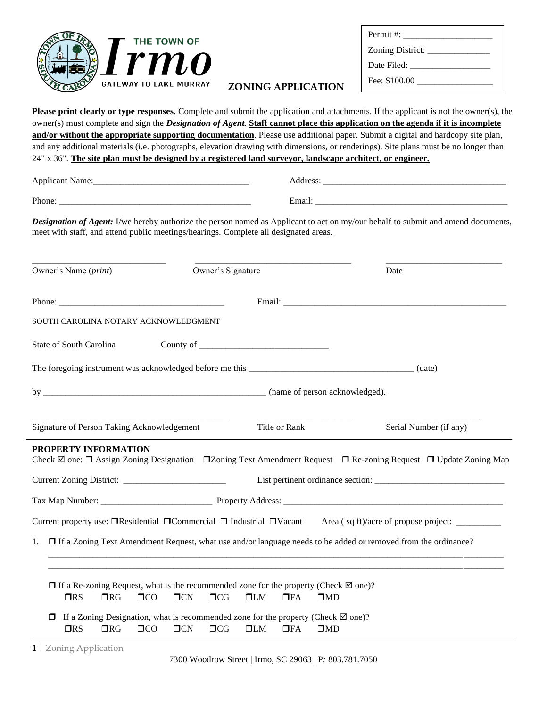

| Zoning District: |  |  |
|------------------|--|--|
| Date Filed:      |  |  |
|                  |  |  |

## **ZONING APPLICATION**

**Please print clearly or type responses.** Complete and submit the application and attachments. If the applicant is not the owner(s), the owner(s) must complete and sign the *Designation of Agent*. **Staff cannot place this application on the agenda if it is incomplete and/or without the appropriate supporting documentation**. Please use additional paper. Submit a digital and hardcopy site plan, and any additional materials (i.e. photographs, elevation drawing with dimensions, or renderings). Site plans must be no longer than 24" x 36". **The site plan must be designed by a registered land surveyor, landscape architect, or engineer.**

Applicant Name:\_\_\_\_\_\_\_\_\_\_\_\_\_\_\_\_\_\_\_\_\_\_\_\_\_\_\_\_\_\_\_\_\_\_\_ Address: \_\_\_\_\_\_\_\_\_\_\_\_\_\_\_\_\_\_\_\_\_\_\_\_\_\_\_\_\_\_\_\_\_\_\_\_\_\_\_\_\_

Phone: \_\_\_\_\_\_\_\_\_\_\_\_\_\_\_\_\_\_\_\_\_\_\_\_\_\_\_\_\_\_\_\_\_\_\_\_\_\_\_\_\_\_\_ Email: \_\_\_\_\_\_\_\_\_\_\_\_\_\_\_\_\_\_\_\_\_\_\_\_\_\_\_\_\_\_\_\_\_\_\_\_\_\_\_\_\_\_\_

*Designation of Agent:* I/we hereby authorize the person named as Applicant to act on my/our behalf to submit and amend documents, meet with staff, and attend public meetings/hearings. Complete all designated areas.

| Owner's Name ( <i>print</i> )                                                                                                                                                                                                  | Owner's Signature                                                                                                                  | Date                                                                                                                                           |
|--------------------------------------------------------------------------------------------------------------------------------------------------------------------------------------------------------------------------------|------------------------------------------------------------------------------------------------------------------------------------|------------------------------------------------------------------------------------------------------------------------------------------------|
| Phone: The contract of the contract of the contract of the contract of the contract of the contract of the contract of the contract of the contract of the contract of the contract of the contract of the contract of the con |                                                                                                                                    |                                                                                                                                                |
| SOUTH CAROLINA NOTARY ACKNOWLEDGMENT                                                                                                                                                                                           |                                                                                                                                    |                                                                                                                                                |
| State of South Carolina                                                                                                                                                                                                        | County of $\frac{1}{\sqrt{1-\frac{1}{2}}}\left[\frac{1}{\sqrt{1-\frac{1}{2}}}\right]$                                              |                                                                                                                                                |
|                                                                                                                                                                                                                                |                                                                                                                                    |                                                                                                                                                |
|                                                                                                                                                                                                                                |                                                                                                                                    |                                                                                                                                                |
| Signature of Person Taking Acknowledgement                                                                                                                                                                                     | Title or Rank                                                                                                                      | Serial Number (if any)                                                                                                                         |
| PROPERTY INFORMATION                                                                                                                                                                                                           |                                                                                                                                    | Check $\boxtimes$ one: $\Box$ Assign Zoning Designation $\Box$ Zoning Text Amendment Request $\Box$ Re-zoning Request $\Box$ Update Zoning Map |
|                                                                                                                                                                                                                                |                                                                                                                                    |                                                                                                                                                |
|                                                                                                                                                                                                                                |                                                                                                                                    |                                                                                                                                                |
|                                                                                                                                                                                                                                |                                                                                                                                    |                                                                                                                                                |
| □ If a Zoning Text Amendment Request, what use and/or language needs to be added or removed from the ordinance?<br>1.                                                                                                          |                                                                                                                                    |                                                                                                                                                |
| $\Box$ If a Re-zoning Request, what is the recommended zone for the property (Check $\boxtimes$ one)?<br>$\n  ORS\n$<br>$\Box$ RG<br>$\Box$ CO<br>TCN                                                                          | $\Box$ CG<br>$\Box LM$<br>$\Box$ FA                                                                                                | $\square$ MD                                                                                                                                   |
| $\Box$<br>TCN<br>$\n  ORS\n$<br>$\Box$ RG<br>$\Box$ CO                                                                                                                                                                         | If a Zoning Designation, what is recommended zone for the property (Check $\boxtimes$ one)?<br>$\Box$ CG<br>$\Box LM$<br>$\Box$ FA | $\square$ MD                                                                                                                                   |